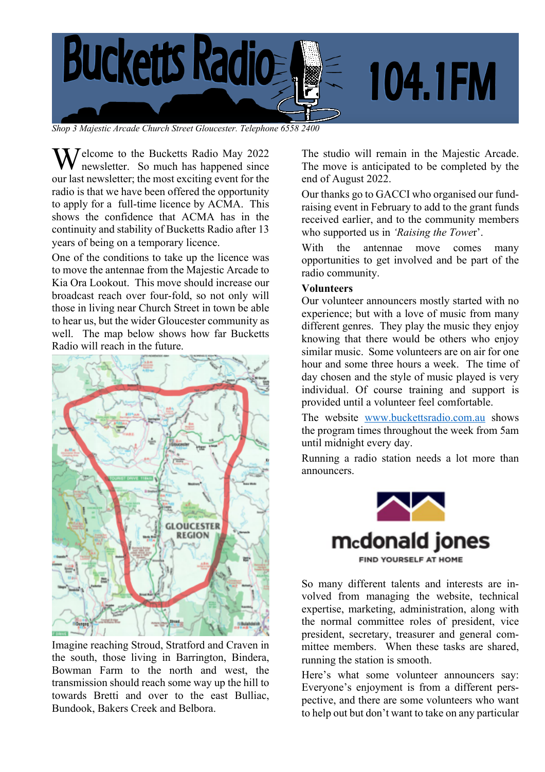

*Shop 3 Majestic Arcade Church Street Gloucester. Telephone 6558 2400*

Welcome to the Bucketts Radio May 2022<br>newsletter. So much has happened since newsletter. So much has happened since our last newsletter; the most exciting event for the radio is that we have been offered the opportunity to apply for a full-time licence by ACMA. This shows the confidence that ACMA has in the continuity and stability of Bucketts Radio after 13 years of being on a temporary licence.

One of the conditions to take up the licence was to move the antennae from the Majestic Arcade to Kia Ora Lookout. This move should increase our broadcast reach over four-fold, so not only will those in living near Church Street in town be able to hear us, but the wider Gloucester community as well. The map below shows how far Bucketts Radio will reach in the future.



Imagine reaching Stroud, Stratford and Craven in the south, those living in Barrington, Bindera, Bowman Farm to the north and west, the transmission should reach some way up the hill to towards Bretti and over to the east Bulliac, Bundook, Bakers Creek and Belbora.

The studio will remain in the Majestic Arcade. The move is anticipated to be completed by the end of August 2022.

Our thanks go to GACCI who organised our fundraising event in February to add to the grant funds received earlier, and to the community members who supported us in *'Raising the Towe*r'.

With the antennae move comes many opportunities to get involved and be part of the radio community.

#### **Volunteers**

Our volunteer announcers mostly started with no experience; but with a love of music from many different genres. They play the music they enjoy knowing that there would be others who enjoy similar music. Some volunteers are on air for one hour and some three hours a week. The time of day chosen and the style of music played is very individual. Of course training and support is provided until a volunteer feel comfortable.

The website www.buckettsradio.com.au shows the program times throughout the week from 5am until midnight every day.

Running a radio station needs a lot more than announcers.



So many different talents and interests are involved from managing the website, technical expertise, marketing, administration, along with the normal committee roles of president, vice president, secretary, treasurer and general committee members. When these tasks are shared, running the station is smooth.

Here's what some volunteer announcers say: Everyone's enjoyment is from a different perspective, and there are some volunteers who want to help out but don't want to take on any particular